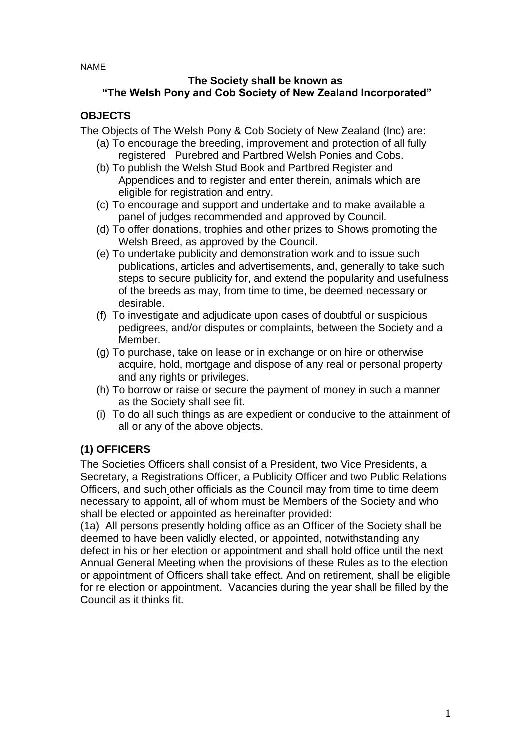NAME

#### **The Society shall be known as "The Welsh Pony and Cob Society of New Zealand Incorporated"**

### **OBJECTS**

The Objects of The Welsh Pony & Cob Society of New Zealand (Inc) are:

- (a) To encourage the breeding, improvement and protection of all fully registered Purebred and Partbred Welsh Ponies and Cobs.
- (b) To publish the Welsh Stud Book and Partbred Register and Appendices and to register and enter therein, animals which are eligible for registration and entry.
- (c) To encourage and support and undertake and to make available a panel of judges recommended and approved by Council.
- (d) To offer donations, trophies and other prizes to Shows promoting the Welsh Breed, as approved by the Council.
- (e) To undertake publicity and demonstration work and to issue such publications, articles and advertisements, and, generally to take such steps to secure publicity for, and extend the popularity and usefulness of the breeds as may, from time to time, be deemed necessary or desirable.
- (f) To investigate and adjudicate upon cases of doubtful or suspicious pedigrees, and/or disputes or complaints, between the Society and a Member.
- (g) To purchase, take on lease or in exchange or on hire or otherwise acquire, hold, mortgage and dispose of any real or personal property and any rights or privileges.
- (h) To borrow or raise or secure the payment of money in such a manner as the Society shall see fit.
- (i) To do all such things as are expedient or conducive to the attainment of all or any of the above objects.

### **(1) OFFICERS**

The Societies Officers shall consist of a President, two Vice Presidents, a Secretary, a Registrations Officer, a Publicity Officer and two Public Relations Officers, and such other officials as the Council may from time to time deem necessary to appoint, all of whom must be Members of the Society and who shall be elected or appointed as hereinafter provided:

(1a) All persons presently holding office as an Officer of the Society shall be deemed to have been validly elected, or appointed, notwithstanding any defect in his or her election or appointment and shall hold office until the next Annual General Meeting when the provisions of these Rules as to the election or appointment of Officers shall take effect. And on retirement, shall be eligible for re election or appointment. Vacancies during the year shall be filled by the Council as it thinks fit.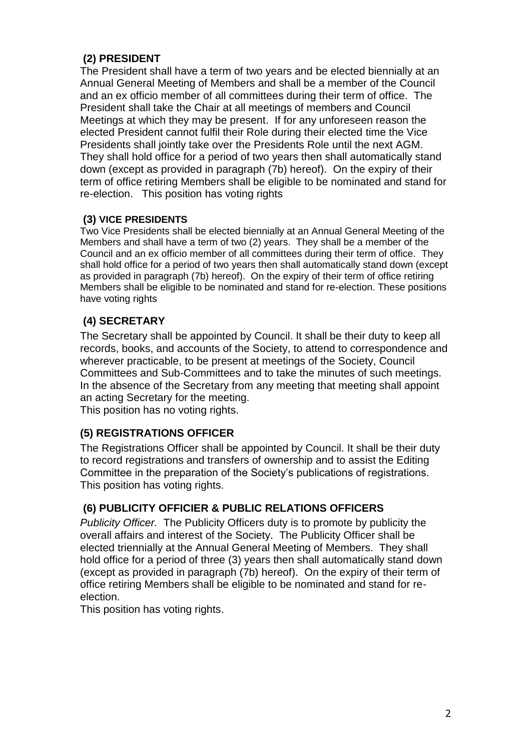# **(2) PRESIDENT**

The President shall have a term of two years and be elected biennially at an Annual General Meeting of Members and shall be a member of the Council and an ex officio member of all committees during their term of office. The President shall take the Chair at all meetings of members and Council Meetings at which they may be present. If for any unforeseen reason the elected President cannot fulfil their Role during their elected time the Vice Presidents shall jointly take over the Presidents Role until the next AGM. They shall hold office for a period of two years then shall automatically stand down (except as provided in paragraph (7b) hereof). On the expiry of their term of office retiring Members shall be eligible to be nominated and stand for re-election. This position has voting rights

#### **(3) VICE PRESIDENTS**

Two Vice Presidents shall be elected biennially at an Annual General Meeting of the Members and shall have a term of two (2) years. They shall be a member of the Council and an ex officio member of all committees during their term of office. They shall hold office for a period of two years then shall automatically stand down (except as provided in paragraph (7b) hereof). On the expiry of their term of office retiring Members shall be eligible to be nominated and stand for re-election. These positions have voting rights

# **(4) SECRETARY**

The Secretary shall be appointed by Council. It shall be their duty to keep all records, books, and accounts of the Society, to attend to correspondence and wherever practicable, to be present at meetings of the Society, Council Committees and Sub-Committees and to take the minutes of such meetings. In the absence of the Secretary from any meeting that meeting shall appoint an acting Secretary for the meeting.

This position has no voting rights.

#### **(5) REGISTRATIONS OFFICER**

The Registrations Officer shall be appointed by Council. It shall be their duty to record registrations and transfers of ownership and to assist the Editing Committee in the preparation of the Society's publications of registrations. This position has voting rights.

#### **(6) PUBLICITY OFFICIER & PUBLIC RELATIONS OFFICERS**

*Publicity Officer.* The Publicity Officers duty is to promote by publicity the overall affairs and interest of the Society. The Publicity Officer shall be elected triennially at the Annual General Meeting of Members. They shall hold office for a period of three (3) years then shall automatically stand down (except as provided in paragraph (7b) hereof). On the expiry of their term of office retiring Members shall be eligible to be nominated and stand for reelection.

This position has voting rights.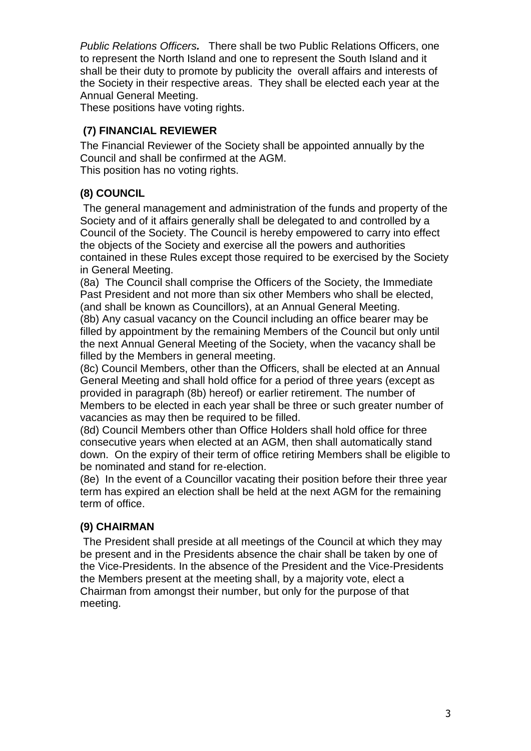*Public Relations Officers.* There shall be two Public Relations Officers, one to represent the North Island and one to represent the South Island and it shall be their duty to promote by publicity the overall affairs and interests of the Society in their respective areas. They shall be elected each year at the Annual General Meeting.

These positions have voting rights.

### **(7) FINANCIAL REVIEWER**

The Financial Reviewer of the Society shall be appointed annually by the Council and shall be confirmed at the AGM.

This position has no voting rights.

# **(8) COUNCIL**

The general management and administration of the funds and property of the Society and of it affairs generally shall be delegated to and controlled by a Council of the Society. The Council is hereby empowered to carry into effect the objects of the Society and exercise all the powers and authorities contained in these Rules except those required to be exercised by the Society in General Meeting.

(8a) The Council shall comprise the Officers of the Society, the Immediate Past President and not more than six other Members who shall be elected, (and shall be known as Councillors), at an Annual General Meeting.

(8b) Any casual vacancy on the Council including an office bearer may be filled by appointment by the remaining Members of the Council but only until the next Annual General Meeting of the Society, when the vacancy shall be filled by the Members in general meeting.

(8c) Council Members, other than the Officers, shall be elected at an Annual General Meeting and shall hold office for a period of three years (except as provided in paragraph (8b) hereof) or earlier retirement. The number of Members to be elected in each year shall be three or such greater number of vacancies as may then be required to be filled.

(8d) Council Members other than Office Holders shall hold office for three consecutive years when elected at an AGM, then shall automatically stand down. On the expiry of their term of office retiring Members shall be eligible to be nominated and stand for re-election.

(8e) In the event of a Councillor vacating their position before their three year term has expired an election shall be held at the next AGM for the remaining term of office.

### **(9) CHAIRMAN**

The President shall preside at all meetings of the Council at which they may be present and in the Presidents absence the chair shall be taken by one of the Vice-Presidents. In the absence of the President and the Vice-Presidents the Members present at the meeting shall, by a majority vote, elect a Chairman from amongst their number, but only for the purpose of that meeting.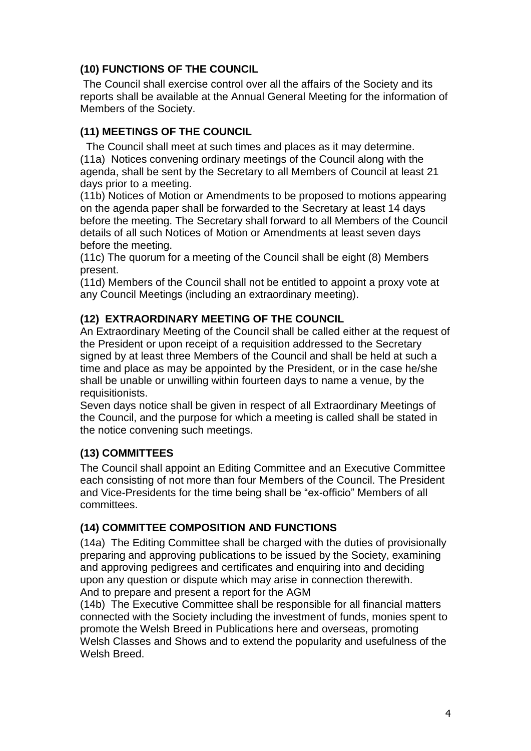### **(10) FUNCTIONS OF THE COUNCIL**

The Council shall exercise control over all the affairs of the Society and its reports shall be available at the Annual General Meeting for the information of Members of the Society.

#### **(11) MEETINGS OF THE COUNCIL**

 The Council shall meet at such times and places as it may determine. (11a) Notices convening ordinary meetings of the Council along with the agenda, shall be sent by the Secretary to all Members of Council at least 21 days prior to a meeting.

(11b) Notices of Motion or Amendments to be proposed to motions appearing on the agenda paper shall be forwarded to the Secretary at least 14 days before the meeting. The Secretary shall forward to all Members of the Council details of all such Notices of Motion or Amendments at least seven days before the meeting.

(11c) The quorum for a meeting of the Council shall be eight (8) Members present.

(11d) Members of the Council shall not be entitled to appoint a proxy vote at any Council Meetings (including an extraordinary meeting).

#### **(12) EXTRAORDINARY MEETING OF THE COUNCIL**

An Extraordinary Meeting of the Council shall be called either at the request of the President or upon receipt of a requisition addressed to the Secretary signed by at least three Members of the Council and shall be held at such a time and place as may be appointed by the President, or in the case he/she shall be unable or unwilling within fourteen days to name a venue, by the requisitionists.

Seven days notice shall be given in respect of all Extraordinary Meetings of the Council, and the purpose for which a meeting is called shall be stated in the notice convening such meetings.

### **(13) COMMITTEES**

The Council shall appoint an Editing Committee and an Executive Committee each consisting of not more than four Members of the Council. The President and Vice-Presidents for the time being shall be "ex-officio" Members of all committees.

#### **(14) COMMITTEE COMPOSITION AND FUNCTIONS**

(14a) The Editing Committee shall be charged with the duties of provisionally preparing and approving publications to be issued by the Society, examining and approving pedigrees and certificates and enquiring into and deciding upon any question or dispute which may arise in connection therewith. And to prepare and present a report for the AGM

(14b) The Executive Committee shall be responsible for all financial matters connected with the Society including the investment of funds, monies spent to promote the Welsh Breed in Publications here and overseas, promoting Welsh Classes and Shows and to extend the popularity and usefulness of the Welsh Breed.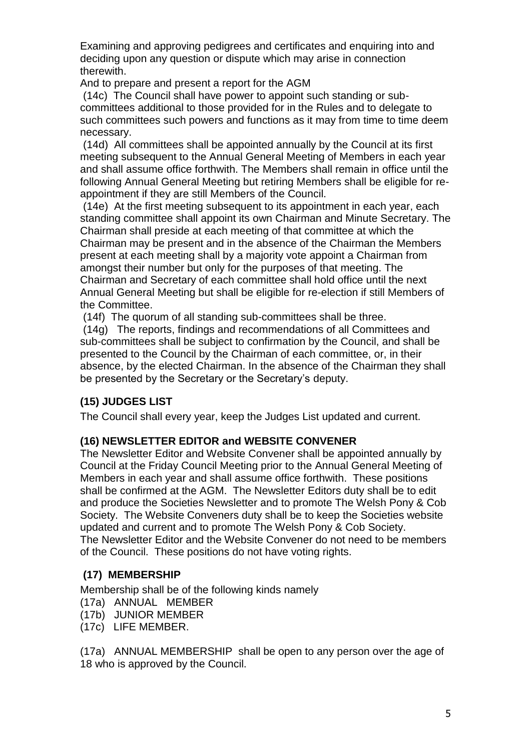Examining and approving pedigrees and certificates and enquiring into and deciding upon any question or dispute which may arise in connection therewith.

And to prepare and present a report for the AGM

(14c) The Council shall have power to appoint such standing or subcommittees additional to those provided for in the Rules and to delegate to such committees such powers and functions as it may from time to time deem necessary.

(14d) All committees shall be appointed annually by the Council at its first meeting subsequent to the Annual General Meeting of Members in each year and shall assume office forthwith. The Members shall remain in office until the following Annual General Meeting but retiring Members shall be eligible for reappointment if they are still Members of the Council.

(14e) At the first meeting subsequent to its appointment in each year, each standing committee shall appoint its own Chairman and Minute Secretary. The Chairman shall preside at each meeting of that committee at which the Chairman may be present and in the absence of the Chairman the Members present at each meeting shall by a majority vote appoint a Chairman from amongst their number but only for the purposes of that meeting. The Chairman and Secretary of each committee shall hold office until the next Annual General Meeting but shall be eligible for re-election if still Members of the Committee.

(14f) The quorum of all standing sub-committees shall be three.

(14g) The reports, findings and recommendations of all Committees and sub-committees shall be subject to confirmation by the Council, and shall be presented to the Council by the Chairman of each committee, or, in their absence, by the elected Chairman. In the absence of the Chairman they shall be presented by the Secretary or the Secretary's deputy.

### **(15) JUDGES LIST**

The Council shall every year, keep the Judges List updated and current.

### **(16) NEWSLETTER EDITOR and WEBSITE CONVENER**

The Newsletter Editor and Website Convener shall be appointed annually by Council at the Friday Council Meeting prior to the Annual General Meeting of Members in each year and shall assume office forthwith. These positions shall be confirmed at the AGM. The Newsletter Editors duty shall be to edit and produce the Societies Newsletter and to promote The Welsh Pony & Cob Society. The Website Conveners duty shall be to keep the Societies website updated and current and to promote The Welsh Pony & Cob Society. The Newsletter Editor and the Website Convener do not need to be members of the Council. These positions do not have voting rights.

### **(17) MEMBERSHIP**

Membership shall be of the following kinds namely

- (17a) ANNUAL MEMBER
- (17b) JUNIOR MEMBER
- (17c) LIFE MEMBER.

(17a) ANNUAL MEMBERSHIP shall be open to any person over the age of 18 who is approved by the Council.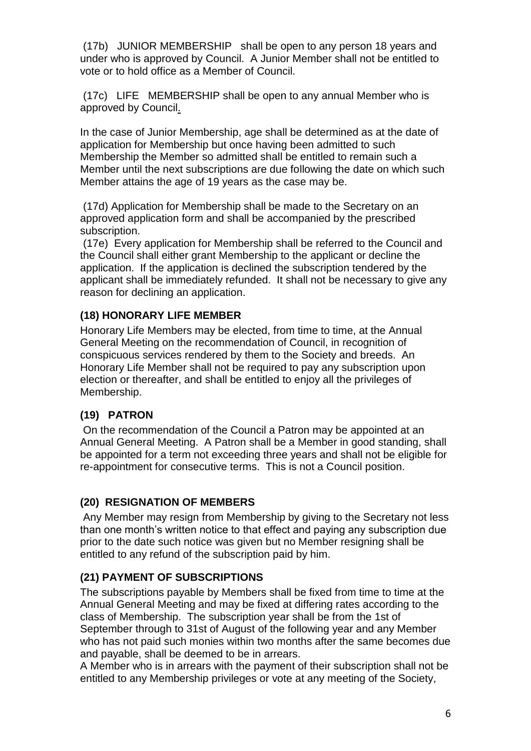(17b) JUNIOR MEMBERSHIP shall be open to any person 18 years and under who is approved by Council. A Junior Member shall not be entitled to vote or to hold office as a Member of Council.

(17c) LIFE MEMBERSHIP shall be open to any annual Member who is approved by Council.

In the case of Junior Membership, age shall be determined as at the date of application for Membership but once having been admitted to such Membership the Member so admitted shall be entitled to remain such a Member until the next subscriptions are due following the date on which such Member attains the age of 19 years as the case may be.

(17d) Application for Membership shall be made to the Secretary on an approved application form and shall be accompanied by the prescribed subscription.

(17e) Every application for Membership shall be referred to the Council and the Council shall either grant Membership to the applicant or decline the application. If the application is declined the subscription tendered by the applicant shall be immediately refunded. It shall not be necessary to give any reason for declining an application.

#### **(18) HONORARY LIFE MEMBER**

Honorary Life Members may be elected, from time to time, at the Annual General Meeting on the recommendation of Council, in recognition of conspicuous services rendered by them to the Society and breeds. An Honorary Life Member shall not be required to pay any subscription upon election or thereafter, and shall be entitled to enjoy all the privileges of Membership.

#### **(19) PATRON**

On the recommendation of the Council a Patron may be appointed at an Annual General Meeting. A Patron shall be a Member in good standing, shall be appointed for a term not exceeding three years and shall not be eligible for re-appointment for consecutive terms. This is not a Council position.

### **(20) RESIGNATION OF MEMBERS**

Any Member may resign from Membership by giving to the Secretary not less than one month's written notice to that effect and paying any subscription due prior to the date such notice was given but no Member resigning shall be entitled to any refund of the subscription paid by him.

#### **(21) PAYMENT OF SUBSCRIPTIONS**

The subscriptions payable by Members shall be fixed from time to time at the Annual General Meeting and may be fixed at differing rates according to the class of Membership. The subscription year shall be from the 1st of September through to 31st of August of the following year and any Member who has not paid such monies within two months after the same becomes due and payable, shall be deemed to be in arrears.

A Member who is in arrears with the payment of their subscription shall not be entitled to any Membership privileges or vote at any meeting of the Society,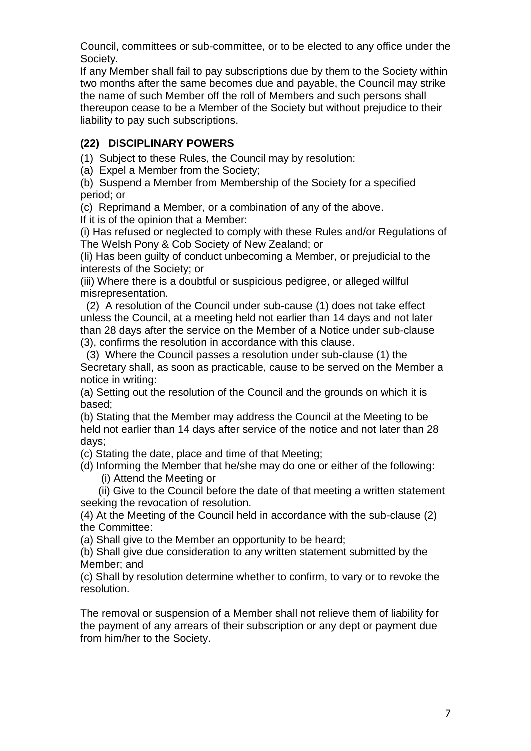Council, committees or sub-committee, or to be elected to any office under the Society.

If any Member shall fail to pay subscriptions due by them to the Society within two months after the same becomes due and payable, the Council may strike the name of such Member off the roll of Members and such persons shall thereupon cease to be a Member of the Society but without prejudice to their liability to pay such subscriptions.

#### **(22) DISCIPLINARY POWERS**

(1) Subject to these Rules, the Council may by resolution:

(a) Expel a Member from the Society;

(b) Suspend a Member from Membership of the Society for a specified period; or

(c) Reprimand a Member, or a combination of any of the above.

If it is of the opinion that a Member:

(i) Has refused or neglected to comply with these Rules and/or Regulations of The Welsh Pony & Cob Society of New Zealand; or

(Ii) Has been guilty of conduct unbecoming a Member, or prejudicial to the interests of the Society; or

(iii) Where there is a doubtful or suspicious pedigree, or alleged willful misrepresentation.

 (2) A resolution of the Council under sub-cause (1) does not take effect unless the Council, at a meeting held not earlier than 14 days and not later than 28 days after the service on the Member of a Notice under sub-clause (3), confirms the resolution in accordance with this clause.

 (3) Where the Council passes a resolution under sub-clause (1) the Secretary shall, as soon as practicable, cause to be served on the Member a notice in writing:

(a) Setting out the resolution of the Council and the grounds on which it is based;

(b) Stating that the Member may address the Council at the Meeting to be held not earlier than 14 days after service of the notice and not later than 28 days;

(c) Stating the date, place and time of that Meeting;

(d) Informing the Member that he/she may do one or either of the following: (i) Attend the Meeting or

 (ii) Give to the Council before the date of that meeting a written statement seeking the revocation of resolution.

(4) At the Meeting of the Council held in accordance with the sub-clause (2) the Committee:

(a) Shall give to the Member an opportunity to be heard;

(b) Shall give due consideration to any written statement submitted by the Member; and

(c) Shall by resolution determine whether to confirm, to vary or to revoke the resolution.

The removal or suspension of a Member shall not relieve them of liability for the payment of any arrears of their subscription or any dept or payment due from him/her to the Society.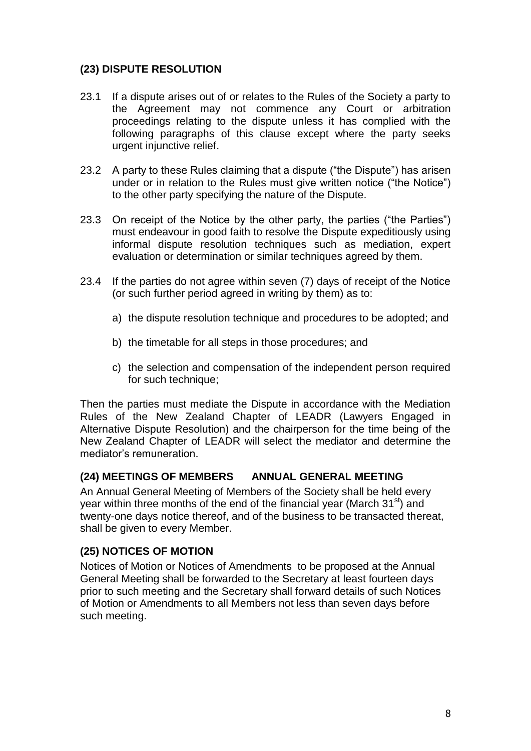#### **(23) DISPUTE RESOLUTION**

- 23.1 If a dispute arises out of or relates to the Rules of the Society a party to the Agreement may not commence any Court or arbitration proceedings relating to the dispute unless it has complied with the following paragraphs of this clause except where the party seeks urgent injunctive relief.
- 23.2 A party to these Rules claiming that a dispute ("the Dispute") has arisen under or in relation to the Rules must give written notice ("the Notice") to the other party specifying the nature of the Dispute.
- 23.3 On receipt of the Notice by the other party, the parties ("the Parties") must endeavour in good faith to resolve the Dispute expeditiously using informal dispute resolution techniques such as mediation, expert evaluation or determination or similar techniques agreed by them.
- 23.4 If the parties do not agree within seven (7) days of receipt of the Notice (or such further period agreed in writing by them) as to:
	- a) the dispute resolution technique and procedures to be adopted; and
	- b) the timetable for all steps in those procedures; and
	- c) the selection and compensation of the independent person required for such technique;

Then the parties must mediate the Dispute in accordance with the Mediation Rules of the New Zealand Chapter of LEADR (Lawyers Engaged in Alternative Dispute Resolution) and the chairperson for the time being of the New Zealand Chapter of LEADR will select the mediator and determine the mediator's remuneration.

#### **(24) MEETINGS OF MEMBERS ANNUAL GENERAL MEETING**

An Annual General Meeting of Members of the Society shall be held every year within three months of the end of the financial year (March  $31<sup>st</sup>$ ) and twenty-one days notice thereof, and of the business to be transacted thereat, shall be given to every Member.

#### **(25) NOTICES OF MOTION**

Notices of Motion or Notices of Amendments to be proposed at the Annual General Meeting shall be forwarded to the Secretary at least fourteen days prior to such meeting and the Secretary shall forward details of such Notices of Motion or Amendments to all Members not less than seven days before such meeting.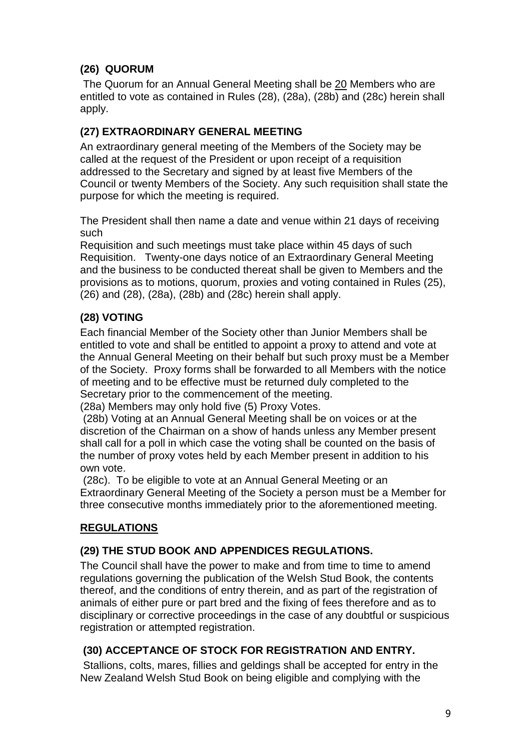# **(26) QUORUM**

The Quorum for an Annual General Meeting shall be 20 Members who are entitled to vote as contained in Rules (28), (28a), (28b) and (28c) herein shall apply.

### **(27) EXTRAORDINARY GENERAL MEETING**

An extraordinary general meeting of the Members of the Society may be called at the request of the President or upon receipt of a requisition addressed to the Secretary and signed by at least five Members of the Council or twenty Members of the Society. Any such requisition shall state the purpose for which the meeting is required.

The President shall then name a date and venue within 21 days of receiving such

Requisition and such meetings must take place within 45 days of such Requisition. Twenty-one days notice of an Extraordinary General Meeting and the business to be conducted thereat shall be given to Members and the provisions as to motions, quorum, proxies and voting contained in Rules (25), (26) and (28), (28a), (28b) and (28c) herein shall apply.

# **(28) VOTING**

Each financial Member of the Society other than Junior Members shall be entitled to vote and shall be entitled to appoint a proxy to attend and vote at the Annual General Meeting on their behalf but such proxy must be a Member of the Society. Proxy forms shall be forwarded to all Members with the notice of meeting and to be effective must be returned duly completed to the Secretary prior to the commencement of the meeting.

(28a) Members may only hold five (5) Proxy Votes.

(28b) Voting at an Annual General Meeting shall be on voices or at the discretion of the Chairman on a show of hands unless any Member present shall call for a poll in which case the voting shall be counted on the basis of the number of proxy votes held by each Member present in addition to his own vote.

(28c). To be eligible to vote at an Annual General Meeting or an Extraordinary General Meeting of the Society a person must be a Member for three consecutive months immediately prior to the aforementioned meeting.

# **REGULATIONS**

### **(29) THE STUD BOOK AND APPENDICES REGULATIONS.**

The Council shall have the power to make and from time to time to amend regulations governing the publication of the Welsh Stud Book, the contents thereof, and the conditions of entry therein, and as part of the registration of animals of either pure or part bred and the fixing of fees therefore and as to disciplinary or corrective proceedings in the case of any doubtful or suspicious registration or attempted registration.

### **(30) ACCEPTANCE OF STOCK FOR REGISTRATION AND ENTRY.**

Stallions, colts, mares, fillies and geldings shall be accepted for entry in the New Zealand Welsh Stud Book on being eligible and complying with the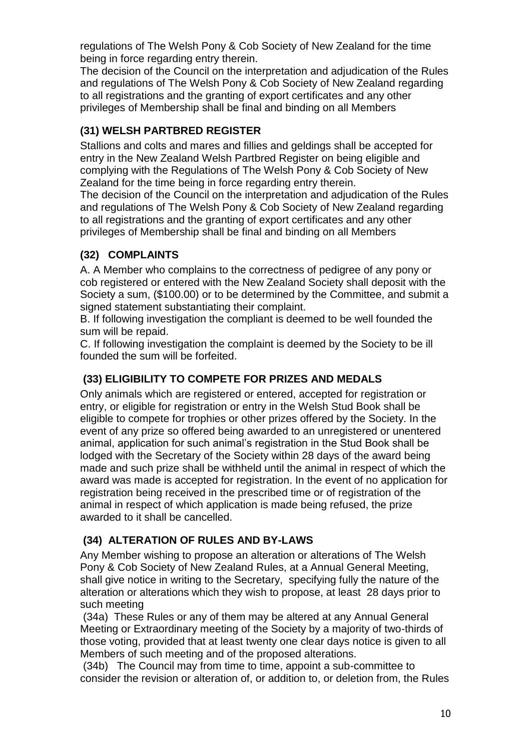regulations of The Welsh Pony & Cob Society of New Zealand for the time being in force regarding entry therein.

The decision of the Council on the interpretation and adjudication of the Rules and regulations of The Welsh Pony & Cob Society of New Zealand regarding to all registrations and the granting of export certificates and any other privileges of Membership shall be final and binding on all Members

# **(31) WELSH PARTBRED REGISTER**

Stallions and colts and mares and fillies and geldings shall be accepted for entry in the New Zealand Welsh Partbred Register on being eligible and complying with the Regulations of The Welsh Pony & Cob Society of New Zealand for the time being in force regarding entry therein.

The decision of the Council on the interpretation and adjudication of the Rules and regulations of The Welsh Pony & Cob Society of New Zealand regarding to all registrations and the granting of export certificates and any other privileges of Membership shall be final and binding on all Members

# **(32) COMPLAINTS**

A. A Member who complains to the correctness of pedigree of any pony or cob registered or entered with the New Zealand Society shall deposit with the Society a sum, (\$100.00) or to be determined by the Committee, and submit a signed statement substantiating their complaint.

B. If following investigation the compliant is deemed to be well founded the sum will be repaid.

C. If following investigation the complaint is deemed by the Society to be ill founded the sum will be forfeited.

### **(33) ELIGIBILITY TO COMPETE FOR PRIZES AND MEDALS**

Only animals which are registered or entered, accepted for registration or entry, or eligible for registration or entry in the Welsh Stud Book shall be eligible to compete for trophies or other prizes offered by the Society. In the event of any prize so offered being awarded to an unregistered or unentered animal, application for such animal's registration in the Stud Book shall be lodged with the Secretary of the Society within 28 days of the award being made and such prize shall be withheld until the animal in respect of which the award was made is accepted for registration. In the event of no application for registration being received in the prescribed time or of registration of the animal in respect of which application is made being refused, the prize awarded to it shall be cancelled.

### **(34) ALTERATION OF RULES AND BY-LAWS**

Any Member wishing to propose an alteration or alterations of The Welsh Pony & Cob Society of New Zealand Rules, at a Annual General Meeting, shall give notice in writing to the Secretary, specifying fully the nature of the alteration or alterations which they wish to propose, at least 28 days prior to such meeting

(34a) These Rules or any of them may be altered at any Annual General Meeting or Extraordinary meeting of the Society by a majority of two-thirds of those voting, provided that at least twenty one clear days notice is given to all Members of such meeting and of the proposed alterations.

(34b) The Council may from time to time, appoint a sub-committee to consider the revision or alteration of, or addition to, or deletion from, the Rules